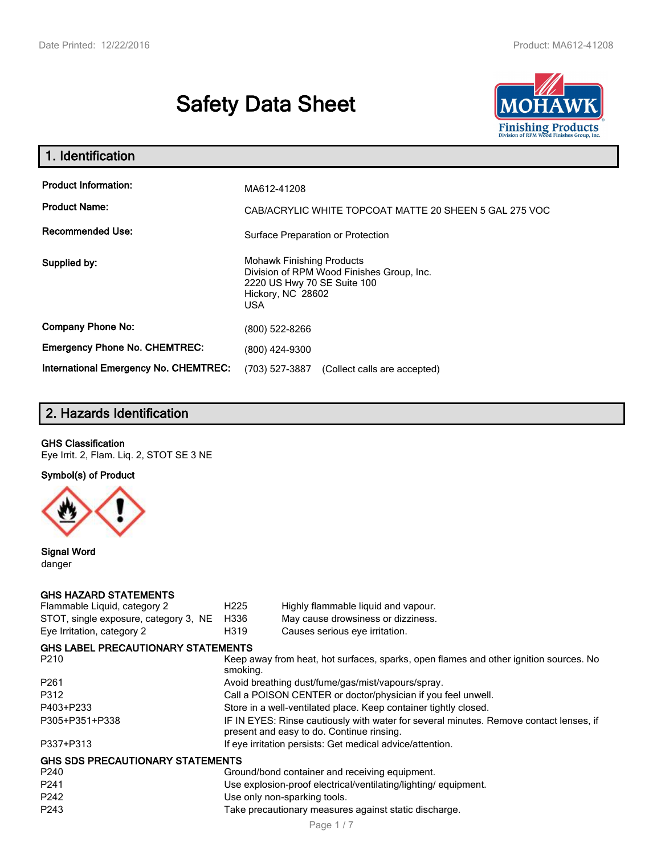# **Safety Data Sheet**



| 1. Identification                                                              |                                                                                                                                                 |  |
|--------------------------------------------------------------------------------|-------------------------------------------------------------------------------------------------------------------------------------------------|--|
| <b>Product Information:</b><br><b>Product Name:</b><br><b>Recommended Use:</b> | MA612-41208<br>CAB/ACRYLIC WHITE TOPCOAT MATTE 20 SHEEN 5 GAL 275 VOC<br>Surface Preparation or Protection                                      |  |
| Supplied by:                                                                   | <b>Mohawk Finishing Products</b><br>Division of RPM Wood Finishes Group, Inc.<br>2220 US Hwy 70 SE Suite 100<br>Hickory, NC 28602<br><b>USA</b> |  |
| <b>Company Phone No:</b>                                                       | (800) 522-8266                                                                                                                                  |  |
| <b>Emergency Phone No. CHEMTREC:</b>                                           | (800) 424-9300                                                                                                                                  |  |
| International Emergency No. CHEMTREC:                                          | (703) 527-3887<br>(Collect calls are accepted)                                                                                                  |  |

# **2. Hazards Identification**

#### **GHS Classification**

Eye Irrit. 2, Flam. Liq. 2, STOT SE 3 NE

**Symbol(s) of Product**



**Signal Word** danger

#### **GHS HAZARD STATEMENTS**

| Flammable Liquid, category 2              | H <sub>225</sub>                                                                                                                    | Highly flammable liquid and vapour. |  |
|-------------------------------------------|-------------------------------------------------------------------------------------------------------------------------------------|-------------------------------------|--|
| STOT, single exposure, category 3, NE     | H336                                                                                                                                | May cause drowsiness or dizziness.  |  |
| Eye Irritation, category 2                | H319                                                                                                                                | Causes serious eye irritation.      |  |
| <b>GHS LABEL PRECAUTIONARY STATEMENTS</b> |                                                                                                                                     |                                     |  |
| P <sub>210</sub>                          | Keep away from heat, hot surfaces, sparks, open flames and other ignition sources. No<br>smoking.                                   |                                     |  |
| P <sub>261</sub>                          | Avoid breathing dust/fume/gas/mist/vapours/spray.                                                                                   |                                     |  |
| P312                                      | Call a POISON CENTER or doctor/physician if you feel unwell.                                                                        |                                     |  |
| P403+P233                                 | Store in a well-ventilated place. Keep container tightly closed.                                                                    |                                     |  |
| P305+P351+P338                            | IF IN EYES: Rinse cautiously with water for several minutes. Remove contact lenses, if<br>present and easy to do. Continue rinsing. |                                     |  |
| P337+P313                                 | If eye irritation persists: Get medical advice/attention.                                                                           |                                     |  |
| <b>GHS SDS PRECAUTIONARY STATEMENTS</b>   |                                                                                                                                     |                                     |  |
| P <sub>240</sub>                          | Ground/bond container and receiving equipment.                                                                                      |                                     |  |
| P <sub>241</sub>                          | Use explosion-proof electrical/ventilating/lighting/equipment.                                                                      |                                     |  |
| P242                                      | Use only non-sparking tools.                                                                                                        |                                     |  |
| P <sub>243</sub>                          | Take precautionary measures against static discharge.                                                                               |                                     |  |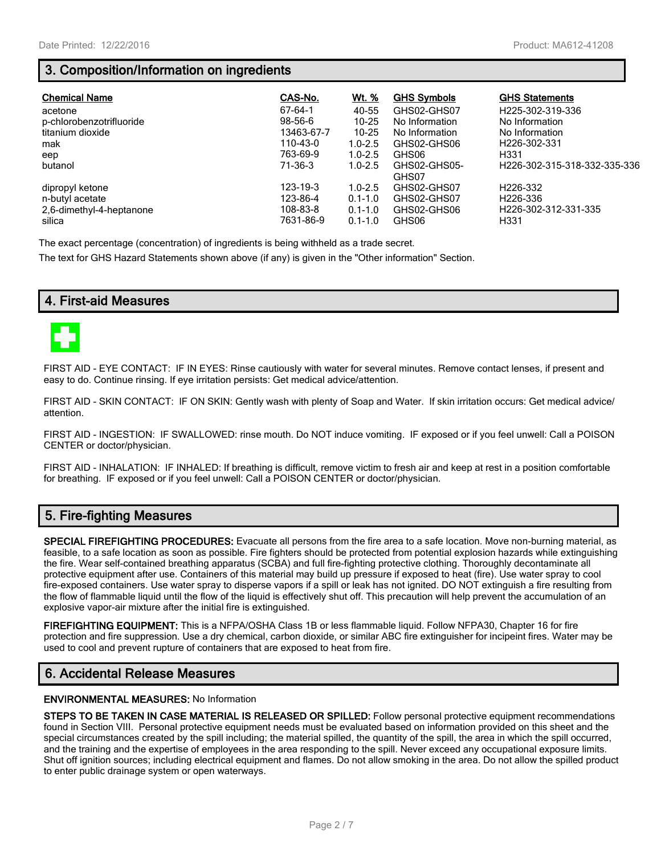## **3. Composition/Information on ingredients**

| <b>Chemical Name</b>               | CAS-No.               | <u>Wt. %</u>               | <b>GHS Symbols</b>    | <b>GHS Statements</b>                    |
|------------------------------------|-----------------------|----------------------------|-----------------------|------------------------------------------|
| acetone                            | 67-64-1               | 40-55                      | GHS02-GHS07           | H225-302-319-336                         |
| p-chlorobenzotrifluoride           | $98 - 56 - 6$         | $10 - 25$                  | No Information        | No Information                           |
| titanium dioxide                   | 13463-67-7            | $10 - 25$                  | No Information        | No Information                           |
| mak                                | 110-43-0              | $1.0 - 2.5$                | GHS02-GHS06           | H <sub>226</sub> -302-331                |
| eep                                | 763-69-9              | $1.0 - 2.5$                | GHS06                 | H <sub>331</sub>                         |
| butanol                            | 71-36-3               | $1.0 - 2.5$                | GHS02-GHS05-<br>GHS07 | H226-302-315-318-332-335-336             |
| dipropyl ketone                    | 123-19-3              | $1.0 - 2.5$                | GHS02-GHS07           | H <sub>226</sub> -332                    |
| n-butyl acetate                    | 123-86-4              | $0.1 - 1.0$                | GHS02-GHS07           | H <sub>226</sub> -336                    |
| 2,6-dimethyl-4-heptanone<br>silica | 108-83-8<br>7631-86-9 | $0.1 - 1.0$<br>$0.1 - 1.0$ | GHS02-GHS06<br>GHS06  | H226-302-312-331-335<br>H <sub>331</sub> |

The exact percentage (concentration) of ingredients is being withheld as a trade secret.

The text for GHS Hazard Statements shown above (if any) is given in the "Other information" Section.

## **4. First-aid Measures**



FIRST AID - EYE CONTACT: IF IN EYES: Rinse cautiously with water for several minutes. Remove contact lenses, if present and easy to do. Continue rinsing. If eye irritation persists: Get medical advice/attention.

FIRST AID - SKIN CONTACT: IF ON SKIN: Gently wash with plenty of Soap and Water. If skin irritation occurs: Get medical advice/ attention.

FIRST AID - INGESTION: IF SWALLOWED: rinse mouth. Do NOT induce vomiting. IF exposed or if you feel unwell: Call a POISON CENTER or doctor/physician.

FIRST AID - INHALATION: IF INHALED: If breathing is difficult, remove victim to fresh air and keep at rest in a position comfortable for breathing. IF exposed or if you feel unwell: Call a POISON CENTER or doctor/physician.

## **5. Fire-fighting Measures**

**SPECIAL FIREFIGHTING PROCEDURES:** Evacuate all persons from the fire area to a safe location. Move non-burning material, as feasible, to a safe location as soon as possible. Fire fighters should be protected from potential explosion hazards while extinguishing the fire. Wear self-contained breathing apparatus (SCBA) and full fire-fighting protective clothing. Thoroughly decontaminate all protective equipment after use. Containers of this material may build up pressure if exposed to heat (fire). Use water spray to cool fire-exposed containers. Use water spray to disperse vapors if a spill or leak has not ignited. DO NOT extinguish a fire resulting from the flow of flammable liquid until the flow of the liquid is effectively shut off. This precaution will help prevent the accumulation of an explosive vapor-air mixture after the initial fire is extinguished.

**FIREFIGHTING EQUIPMENT:** This is a NFPA/OSHA Class 1B or less flammable liquid. Follow NFPA30, Chapter 16 for fire protection and fire suppression. Use a dry chemical, carbon dioxide, or similar ABC fire extinguisher for incipeint fires. Water may be used to cool and prevent rupture of containers that are exposed to heat from fire.

## **6. Accidental Release Measures**

#### **ENVIRONMENTAL MEASURES:** No Information

**STEPS TO BE TAKEN IN CASE MATERIAL IS RELEASED OR SPILLED:** Follow personal protective equipment recommendations found in Section VIII. Personal protective equipment needs must be evaluated based on information provided on this sheet and the special circumstances created by the spill including; the material spilled, the quantity of the spill, the area in which the spill occurred, and the training and the expertise of employees in the area responding to the spill. Never exceed any occupational exposure limits. Shut off ignition sources; including electrical equipment and flames. Do not allow smoking in the area. Do not allow the spilled product to enter public drainage system or open waterways.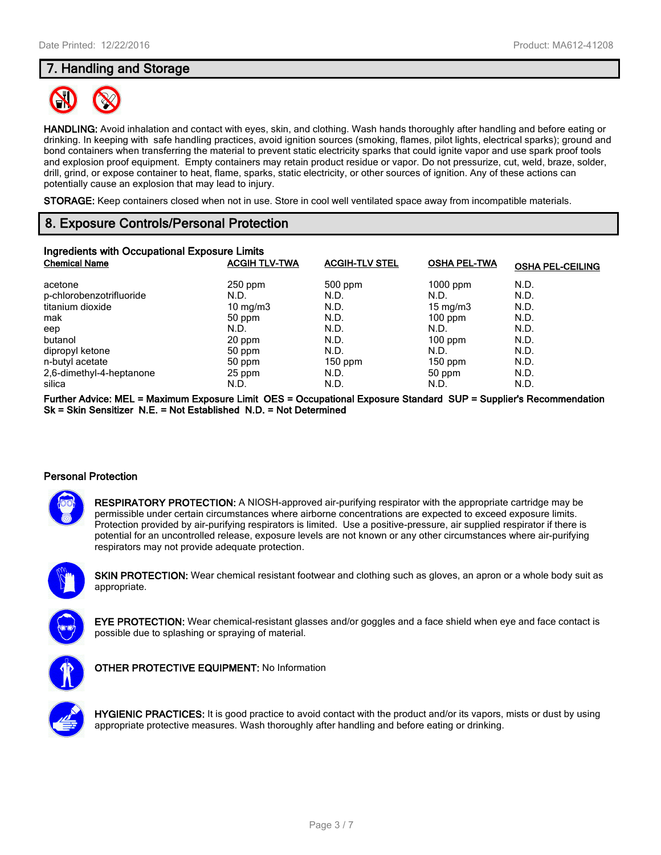## **7. Handling and Storage**



**HANDLING:** Avoid inhalation and contact with eyes, skin, and clothing. Wash hands thoroughly after handling and before eating or drinking. In keeping with safe handling practices, avoid ignition sources (smoking, flames, pilot lights, electrical sparks); ground and bond containers when transferring the material to prevent static electricity sparks that could ignite vapor and use spark proof tools and explosion proof equipment. Empty containers may retain product residue or vapor. Do not pressurize, cut, weld, braze, solder, drill, grind, or expose container to heat, flame, sparks, static electricity, or other sources of ignition. Any of these actions can potentially cause an explosion that may lead to injury.

**STORAGE:** Keep containers closed when not in use. Store in cool well ventilated space away from incompatible materials.

## **8. Exposure Controls/Personal Protection**

| Ingredients with Occupational Exposure Limits |                      |                       |                     |                         |
|-----------------------------------------------|----------------------|-----------------------|---------------------|-------------------------|
| <b>Chemical Name</b>                          | <b>ACGIH TLV-TWA</b> | <b>ACGIH-TLV STEL</b> | <b>OSHA PEL-TWA</b> | <b>OSHA PEL-CEILING</b> |
| acetone                                       | $250$ ppm            | 500 ppm               | $1000$ ppm          | N.D.                    |
| p-chlorobenzotrifluoride                      | N.D.                 | N.D.                  | N.D.                | N.D.                    |
| titanium dioxide                              | $10 \text{ mg/m}$    | N.D.                  | $15 \text{ mg/m}$   | N.D.                    |
| mak                                           | 50 ppm               | N.D.                  | $100$ ppm           | N.D.                    |
| eep                                           | N.D.                 | N.D.                  | N.D.                | N.D.                    |
| butanol                                       | 20 ppm               | N.D.                  | $100$ ppm           | N.D.                    |
| dipropyl ketone                               | 50 ppm               | N.D.                  | N.D.                | N.D.                    |
| n-butyl acetate                               | 50 ppm               | $150$ ppm             | $150$ ppm           | N.D.                    |
| 2,6-dimethyl-4-heptanone                      | 25 ppm               | N.D.                  | 50 ppm              | N.D.                    |
| silica                                        | N.D.                 | N.D.                  | N.D.                | N.D.                    |

**Further Advice: MEL = Maximum Exposure Limit OES = Occupational Exposure Standard SUP = Supplier's Recommendation Sk = Skin Sensitizer N.E. = Not Established N.D. = Not Determined**

#### **Personal Protection**



**RESPIRATORY PROTECTION:** A NIOSH-approved air-purifying respirator with the appropriate cartridge may be permissible under certain circumstances where airborne concentrations are expected to exceed exposure limits. Protection provided by air-purifying respirators is limited. Use a positive-pressure, air supplied respirator if there is potential for an uncontrolled release, exposure levels are not known or any other circumstances where air-purifying respirators may not provide adequate protection.



**SKIN PROTECTION:** Wear chemical resistant footwear and clothing such as gloves, an apron or a whole body suit as appropriate.



**EYE PROTECTION:** Wear chemical-resistant glasses and/or goggles and a face shield when eye and face contact is possible due to splashing or spraying of material.



**OTHER PROTECTIVE EQUIPMENT:** No Information



**HYGIENIC PRACTICES:** It is good practice to avoid contact with the product and/or its vapors, mists or dust by using appropriate protective measures. Wash thoroughly after handling and before eating or drinking.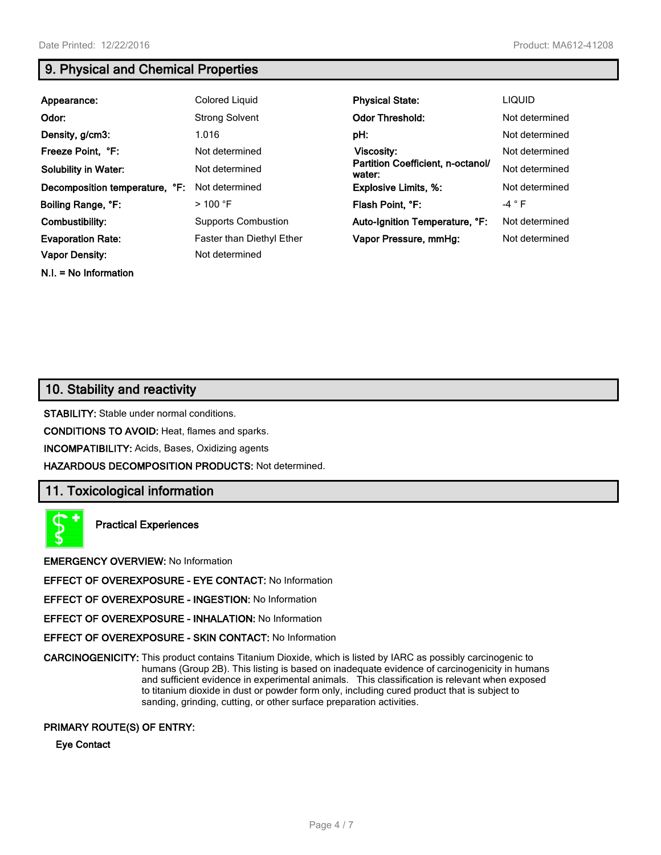## **9. Physical and Chemical Properties**

| Appearance:                    | Colored Liquid             | <b>Physical State:</b>                      | <b>LIQUID</b>  |
|--------------------------------|----------------------------|---------------------------------------------|----------------|
| Odor:                          | <b>Strong Solvent</b>      | <b>Odor Threshold:</b>                      | Not determined |
| Density, g/cm3:                | 1.016                      | pH:                                         | Not determined |
| Freeze Point, °F:              | Not determined             | <b>Viscosity:</b>                           | Not determined |
| <b>Solubility in Water:</b>    | Not determined             | Partition Coefficient, n-octanol/<br>water: | Not determined |
| Decomposition temperature, °F: | Not determined             | <b>Explosive Limits, %:</b>                 | Not determined |
| Boiling Range, °F:             | $>$ 100 °F                 | Flash Point, °F:                            | $-4$ $\circ$ F |
| Combustibility:                | <b>Supports Combustion</b> | Auto-Ignition Temperature, °F:              | Not determined |
| <b>Evaporation Rate:</b>       | Faster than Diethyl Ether  | Vapor Pressure, mmHg:                       | Not determined |
| <b>Vapor Density:</b>          | Not determined             |                                             |                |
| $N.I. = No Information$        |                            |                                             |                |

## **10. Stability and reactivity**

**STABILITY:** Stable under normal conditions.

**CONDITIONS TO AVOID:** Heat, flames and sparks.

**INCOMPATIBILITY:** Acids, Bases, Oxidizing agents

**HAZARDOUS DECOMPOSITION PRODUCTS:** Not determined.

## **11. Toxicological information**



**Practical Experiences**

**EMERGENCY OVERVIEW:** No Information

**EFFECT OF OVEREXPOSURE - EYE CONTACT:** No Information

**EFFECT OF OVEREXPOSURE - INGESTION:** No Information

**EFFECT OF OVEREXPOSURE - INHALATION:** No Information

**EFFECT OF OVEREXPOSURE - SKIN CONTACT:** No Information

**CARCINOGENICITY:** This product contains Titanium Dioxide, which is listed by IARC as possibly carcinogenic to humans (Group 2B). This listing is based on inadequate evidence of carcinogenicity in humans and sufficient evidence in experimental animals. This classification is relevant when exposed to titanium dioxide in dust or powder form only, including cured product that is subject to sanding, grinding, cutting, or other surface preparation activities.

#### **PRIMARY ROUTE(S) OF ENTRY:**

**Eye Contact**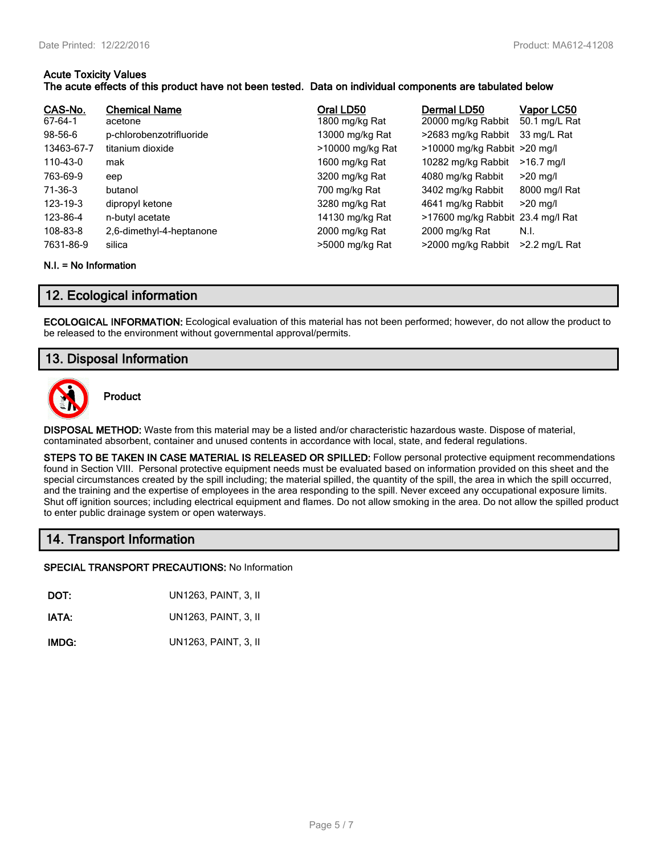#### **Acute Toxicity Values The acute effects of this product have not been tested. Data on individual components are tabulated below**

| CAS-No.<br>67-64-1 | <b>Chemical Name</b><br>acetone | Oral LD50<br>1800 mg/kg Rat | Dermal LD50<br>20000 mg/kg Rabbit | Vapor LC50<br>50.1 mg/L Rat |
|--------------------|---------------------------------|-----------------------------|-----------------------------------|-----------------------------|
| 98-56-6            | p-chlorobenzotrifluoride        | 13000 mg/kg Rat             | >2683 mg/kg Rabbit                | 33 mg/L Rat                 |
| 13463-67-7         | titanium dioxide                | >10000 mg/kg Rat            | >10000 mg/kg Rabbit >20 mg/l      |                             |
| 110-43-0           | mak                             | 1600 mg/kg Rat              | 10282 mg/kg Rabbit                | $>16.7$ mg/l                |
| 763-69-9           | eep                             | 3200 mg/kg Rat              | 4080 mg/kg Rabbit                 | $>20$ mg/l                  |
| 71-36-3            | butanol                         | 700 mg/kg Rat               | 3402 mg/kg Rabbit                 | 8000 mg/l Rat               |
| 123-19-3           | dipropyl ketone                 | 3280 mg/kg Rat              | 4641 mg/kg Rabbit                 | $>20$ mg/l                  |
| 123-86-4           | n-butyl acetate                 | 14130 mg/kg Rat             | >17600 mg/kg Rabbit 23.4 mg/l Rat |                             |
| 108-83-8           | 2,6-dimethyl-4-heptanone        | 2000 mg/kg Rat              | 2000 mg/kg Rat                    | N.I.                        |
| 7631-86-9          | silica                          | >5000 mg/kg Rat             | >2000 mg/kg Rabbit                | $>2.2$ mg/L Rat             |

#### **N.I. = No Information**

## **12. Ecological information**

**ECOLOGICAL INFORMATION:** Ecological evaluation of this material has not been performed; however, do not allow the product to be released to the environment without governmental approval/permits.

## **13. Disposal Information**



**Product**

**DISPOSAL METHOD:** Waste from this material may be a listed and/or characteristic hazardous waste. Dispose of material, contaminated absorbent, container and unused contents in accordance with local, state, and federal regulations.

**STEPS TO BE TAKEN IN CASE MATERIAL IS RELEASED OR SPILLED:** Follow personal protective equipment recommendations found in Section VIII. Personal protective equipment needs must be evaluated based on information provided on this sheet and the special circumstances created by the spill including; the material spilled, the quantity of the spill, the area in which the spill occurred, and the training and the expertise of employees in the area responding to the spill. Never exceed any occupational exposure limits. Shut off ignition sources; including electrical equipment and flames. Do not allow smoking in the area. Do not allow the spilled product to enter public drainage system or open waterways.

## **14. Transport Information**

#### **SPECIAL TRANSPORT PRECAUTIONS:** No Information

**DOT:** UN1263, PAINT, 3, II

**IATA:** UN1263, PAINT, 3, II

**IMDG:** UN1263, PAINT, 3, II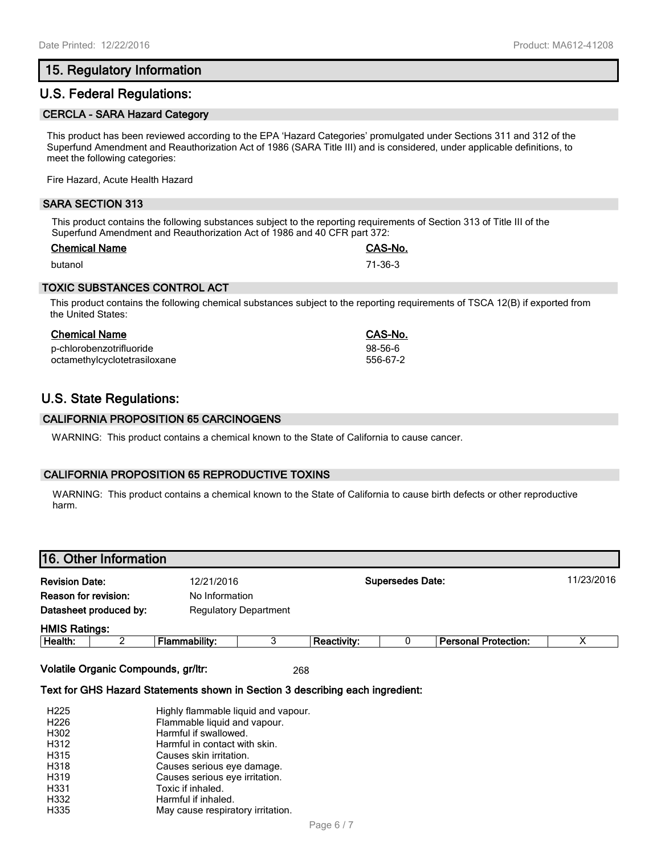## **15. Regulatory Information**

## **U.S. Federal Regulations:**

#### **CERCLA - SARA Hazard Category**

This product has been reviewed according to the EPA 'Hazard Categories' promulgated under Sections 311 and 312 of the Superfund Amendment and Reauthorization Act of 1986 (SARA Title III) and is considered, under applicable definitions, to meet the following categories:

Fire Hazard, Acute Health Hazard

#### **SARA SECTION 313**

This product contains the following substances subject to the reporting requirements of Section 313 of Title III of the Superfund Amendment and Reauthorization Act of 1986 and 40 CFR part 372:

#### **Chemical Name CAS-No.**

butanol 71-36-3

#### **TOXIC SUBSTANCES CONTROL ACT**

This product contains the following chemical substances subject to the reporting requirements of TSCA 12(B) if exported from the United States:

| Chemical Name                | CAS-No.       |
|------------------------------|---------------|
| p-chlorobenzotrifluoride     | $98 - 56 - 6$ |
| octamethylcyclotetrasiloxane | 556-67-2      |

## **U.S. State Regulations:**

#### **CALIFORNIA PROPOSITION 65 CARCINOGENS**

WARNING: This product contains a chemical known to the State of California to cause cancer.

#### **CALIFORNIA PROPOSITION 65 REPRODUCTIVE TOXINS**

WARNING: This product contains a chemical known to the State of California to cause birth defects or other reproductive harm.

# **16. Other Information Revision Date:** 12/21/2016 **Supersedes Date:** 11/23/2016 **Reason for revision:** No Information **Datasheet produced by:** Regulatory Department **HMIS Ratings: Health:** 2 **Flammability:** 3 **Reactivity:** 0 **Personal Protection:** X

**Volatile Organic Compounds, gr/ltr:** 268

#### **Text for GHS Hazard Statements shown in Section 3 describing each ingredient:**

| H <sub>225</sub> | Highly flammable liquid and vapour. |
|------------------|-------------------------------------|
| H <sub>226</sub> | Flammable liquid and vapour.        |
| H302             | Harmful if swallowed.               |
| H312             | Harmful in contact with skin.       |
| H315             | Causes skin irritation.             |
| H318             | Causes serious eye damage.          |
| H319             | Causes serious eye irritation.      |
| H331             | Toxic if inhaled.                   |
| H332             | Harmful if inhaled.                 |
| H335             | May cause respiratory irritation.   |